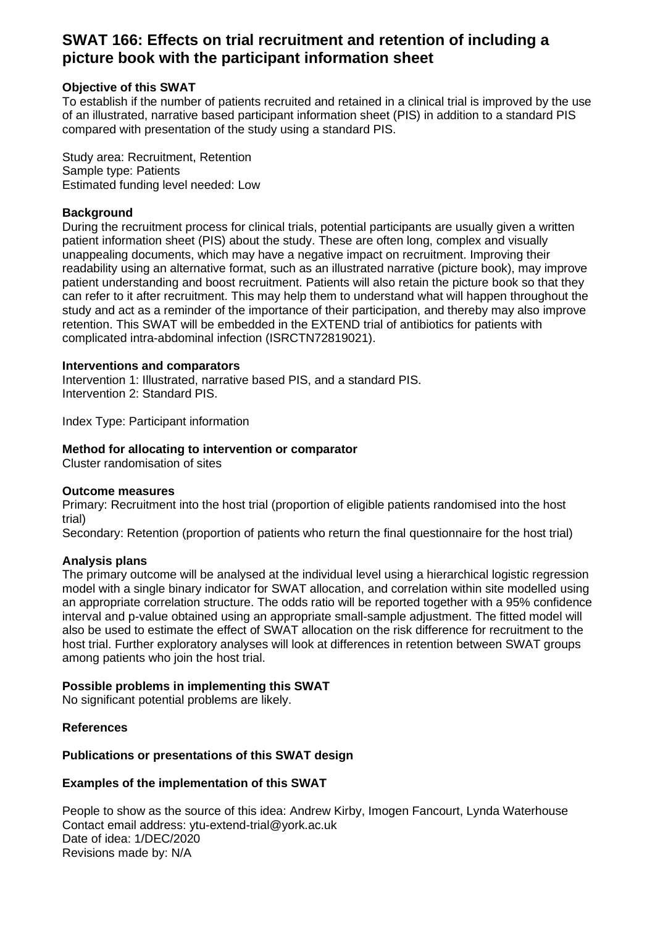# **SWAT 166: Effects on trial recruitment and retention of including a picture book with the participant information sheet**

## **Objective of this SWAT**

To establish if the number of patients recruited and retained in a clinical trial is improved by the use of an illustrated, narrative based participant information sheet (PIS) in addition to a standard PIS compared with presentation of the study using a standard PIS.

Study area: Recruitment, Retention Sample type: Patients Estimated funding level needed: Low

## **Background**

During the recruitment process for clinical trials, potential participants are usually given a written patient information sheet (PIS) about the study. These are often long, complex and visually unappealing documents, which may have a negative impact on recruitment. Improving their readability using an alternative format, such as an illustrated narrative (picture book), may improve patient understanding and boost recruitment. Patients will also retain the picture book so that they can refer to it after recruitment. This may help them to understand what will happen throughout the study and act as a reminder of the importance of their participation, and thereby may also improve retention. This SWAT will be embedded in the EXTEND trial of antibiotics for patients with complicated intra-abdominal infection (ISRCTN72819021).

#### **Interventions and comparators**

Intervention 1: Illustrated, narrative based PIS, and a standard PIS. Intervention 2: Standard PIS.

Index Type: Participant information

#### **Method for allocating to intervention or comparator**

Cluster randomisation of sites

#### **Outcome measures**

Primary: Recruitment into the host trial (proportion of eligible patients randomised into the host trial)

Secondary: Retention (proportion of patients who return the final questionnaire for the host trial)

#### **Analysis plans**

The primary outcome will be analysed at the individual level using a hierarchical logistic regression model with a single binary indicator for SWAT allocation, and correlation within site modelled using an appropriate correlation structure. The odds ratio will be reported together with a 95% confidence interval and p-value obtained using an appropriate small-sample adjustment. The fitted model will also be used to estimate the effect of SWAT allocation on the risk difference for recruitment to the host trial. Further exploratory analyses will look at differences in retention between SWAT groups among patients who join the host trial.

#### **Possible problems in implementing this SWAT**

No significant potential problems are likely.

#### **References**

#### **Publications or presentations of this SWAT design**

#### **Examples of the implementation of this SWAT**

People to show as the source of this idea: Andrew Kirby, Imogen Fancourt, Lynda Waterhouse Contact email address: ytu-extend-trial@york.ac.uk Date of idea: 1/DEC/2020 Revisions made by: N/A